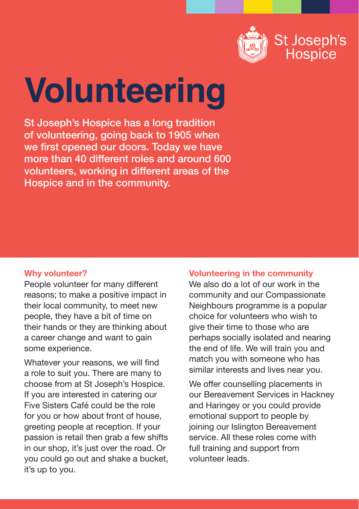

# **Volunteering**

St Joseph's Hospice has a long tradition of volunteering, going back to 1905 when we first opened our doors. Today we have more than 40 different roles and around 600 volunteers, working in different areas of the Hospice and in the community.

# **Why volunteer?**

People volunteer for many different reasons; to make a positive impact in their local community, to meet new people, they have a bit of time on their hands or they are thinking about a career change and want to gain some experience.

Whatever your reasons, we will find a role to suit you. There are many to choose from at St Joseph's Hospice. If you are interested in catering our Five Sisters Café could be the role for you or how about front of house, greeting people at reception. If your passion is retail then grab a few shifts in our shop, it's just over the road. Or you could go out and shake a bucket, it's up to you.

**Volunteering in the community**

We also do a lot of our work in the community and our Compassionate Neighbours programme is a popular choice for volunteers who wish to give their time to those who are perhaps socially isolated and nearing the end of life. We will train you and match you with someone who has similar interests and lives near you.

We offer counselling placements in our Bereavement Services in Hackney and Haringey or you could provide emotional support to people by joining our Islington Bereavement service. All these roles come with full training and support from volunteer leads.